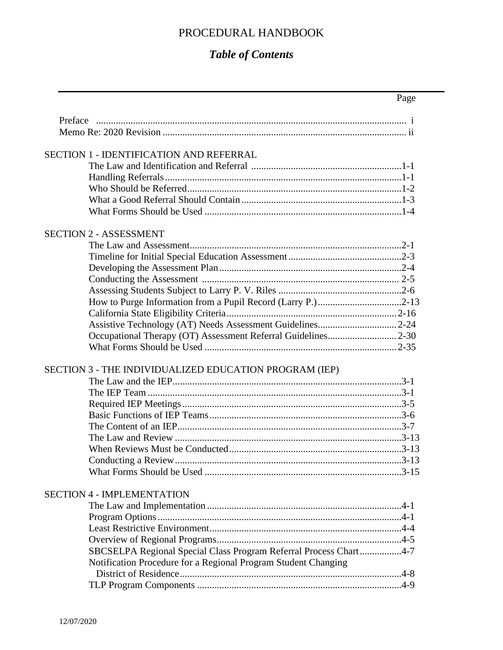## PROCEDURAL HANDBOOK

## *Table of Contents*

|                                                                   | Page |
|-------------------------------------------------------------------|------|
| Preface                                                           |      |
|                                                                   |      |
|                                                                   |      |
| <b>SECTION 1 - IDENTIFICATION AND REFERRAL</b>                    |      |
|                                                                   |      |
|                                                                   |      |
|                                                                   |      |
|                                                                   |      |
|                                                                   |      |
| <b>SECTION 2 - ASSESSMENT</b>                                     |      |
|                                                                   |      |
|                                                                   |      |
|                                                                   |      |
|                                                                   |      |
|                                                                   |      |
|                                                                   |      |
|                                                                   |      |
|                                                                   |      |
|                                                                   |      |
|                                                                   |      |
| SECTION 3 - THE INDIVIDUALIZED EDUCATION PROGRAM (IEP)            |      |
|                                                                   |      |
|                                                                   |      |
|                                                                   |      |
|                                                                   |      |
|                                                                   |      |
|                                                                   |      |
|                                                                   |      |
|                                                                   |      |
|                                                                   |      |
| <b>SECTION 4 - IMPLEMENTATION</b>                                 |      |
|                                                                   |      |
|                                                                   |      |
|                                                                   |      |
|                                                                   |      |
| SBCSELPA Regional Special Class Program Referral Process Chart4-7 |      |
| Notification Procedure for a Regional Program Student Changing    |      |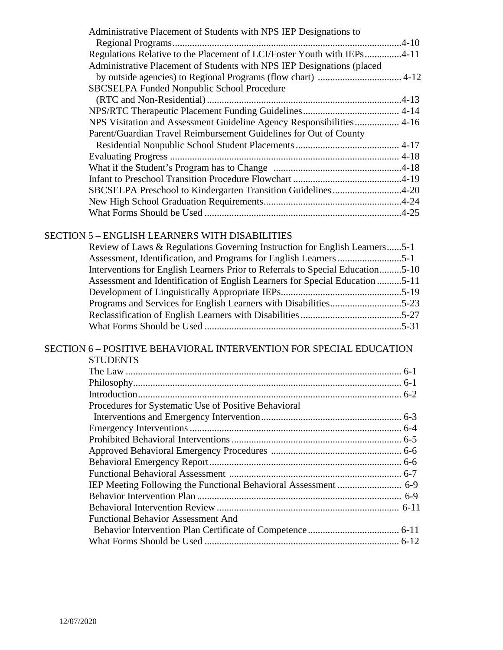| Administrative Placement of Students with NPS IEP Designations to       |  |
|-------------------------------------------------------------------------|--|
|                                                                         |  |
| Regulations Relative to the Placement of LCI/Foster Youth with IEPs4-11 |  |
| Administrative Placement of Students with NPS IEP Designations (placed  |  |
|                                                                         |  |
| SBCSELPA Funded Nonpublic School Procedure                              |  |
|                                                                         |  |
|                                                                         |  |
| NPS Visitation and Assessment Guideline Agency Responsibilities 4-16    |  |
| Parent/Guardian Travel Reimbursement Guidelines for Out of County       |  |
|                                                                         |  |
|                                                                         |  |
|                                                                         |  |
|                                                                         |  |
| SBCSELPA Preschool to Kindergarten Transition Guidelines4-20            |  |
|                                                                         |  |
|                                                                         |  |

## SECTION 5 – ENGLISH LEARNERS WITH DISABILITIES

| Review of Laws & Regulations Governing Instruction for English Learners5-1     |  |
|--------------------------------------------------------------------------------|--|
|                                                                                |  |
| Interventions for English Learners Prior to Referrals to Special Education5-10 |  |
| Assessment and Identification of English Learners for Special Education 5-11   |  |
|                                                                                |  |
|                                                                                |  |
|                                                                                |  |
|                                                                                |  |

## SECTION 6 – POSITIVE BEHAVIORAL INTERVENTION FOR SPECIAL EDUCATION

| <b>STUDENTS</b> |
|-----------------|
|-----------------|

| Procedures for Systematic Use of Positive Behavioral |  |
|------------------------------------------------------|--|
|                                                      |  |
|                                                      |  |
|                                                      |  |
|                                                      |  |
|                                                      |  |
|                                                      |  |
|                                                      |  |
|                                                      |  |
|                                                      |  |
| <b>Functional Behavior Assessment And</b>            |  |
|                                                      |  |
|                                                      |  |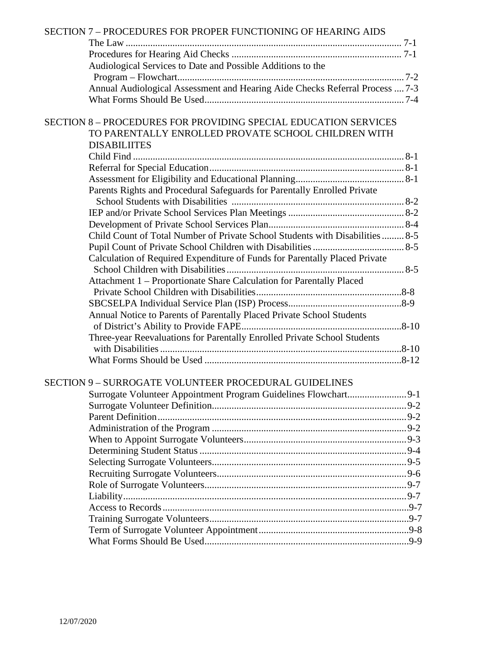| SECTION 7 - PROCEDURES FOR PROPER FUNCTIONING OF HEARING AIDS                |  |
|------------------------------------------------------------------------------|--|
|                                                                              |  |
|                                                                              |  |
| Audiological Services to Date and Possible Additions to the                  |  |
|                                                                              |  |
| Annual Audiological Assessment and Hearing Aide Checks Referral Process  7-3 |  |
|                                                                              |  |
| <b>SECTION 8-PROCEDURES FOR PROVIDING SPECIAL EDUCATION SERVICES</b>         |  |
| TO PARENTALLY ENROLLED PROVATE SCHOOL CHILDREN WITH                          |  |
| <b>DISABILIITES</b>                                                          |  |
|                                                                              |  |
|                                                                              |  |
|                                                                              |  |
| Parents Rights and Procedural Safeguards for Parentally Enrolled Private     |  |
|                                                                              |  |
|                                                                              |  |
|                                                                              |  |
| Child Count of Total Number of Private School Students with Disabilities 8-5 |  |
|                                                                              |  |
| Calculation of Required Expenditure of Funds for Parentally Placed Private   |  |
|                                                                              |  |
| Attachment 1 - Proportionate Share Calculation for Parentally Placed         |  |
|                                                                              |  |
|                                                                              |  |
| Annual Notice to Parents of Parentally Placed Private School Students        |  |
|                                                                              |  |
| Three-year Reevaluations for Parentally Enrolled Private School Students     |  |
|                                                                              |  |
|                                                                              |  |
| <b>SECTION 9 - SURROGATE VOLUNTEER PROCEDURAL GUIDELINES</b>                 |  |
|                                                                              |  |
|                                                                              |  |
|                                                                              |  |
|                                                                              |  |
|                                                                              |  |
|                                                                              |  |
|                                                                              |  |
|                                                                              |  |
|                                                                              |  |
|                                                                              |  |
|                                                                              |  |
|                                                                              |  |
|                                                                              |  |
|                                                                              |  |